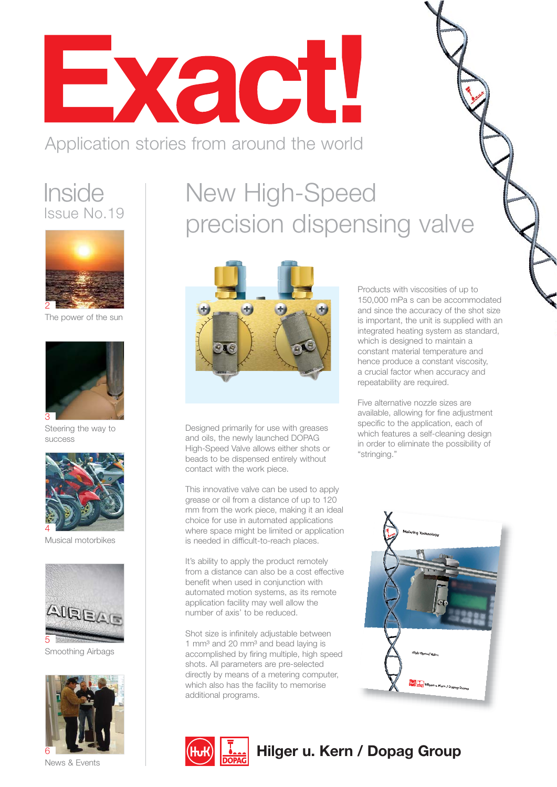

#### Application stories from around the world

#### **Inside** Issue No.19



The power of the sun



Steering the way to success



Musical motorbikes



Smoothing Airbags



New High-Speed precision dispensing valve



Designed primarily for use with greases and oils, the newly launched DOPAG High-Speed Valve allows either shots or beads to be dispensed entirely without contact with the work piece.

This innovative valve can be used to apply grease or oil from a distance of up to 120 mm from the work piece, making it an ideal choice for use in automated applications where space might be limited or application is needed in difficult-to-reach places.

It's ability to apply the product remotely from a distance can also be a cost effective benefit when used in conjunction with automated motion systems, as its remote application facility may well allow the number of axis' to be reduced.

Shot size is infinitely adjustable between 1 mm $3$  and 20 mm $3$  and bead laying is accomplished by firing multiple, high speed shots. All parameters are pre-selected directly by means of a metering computer, which also has the facility to memorise additional programs.



#### **Hilger u. Kern / Dopag Group**

Products with viscosities of up to 150,000 mPa s can be accommodated and since the accuracy of the shot size is important, the unit is supplied with an integrated heating system as standard, which is designed to maintain a constant material temperature and hence produce a constant viscosity, a crucial factor when accuracy and repeatability are required.

Five alternative nozzle sizes are available, allowing for fine adjustment specific to the application, each of which features a self-cleaning design in order to eliminate the possibility of "stringing."

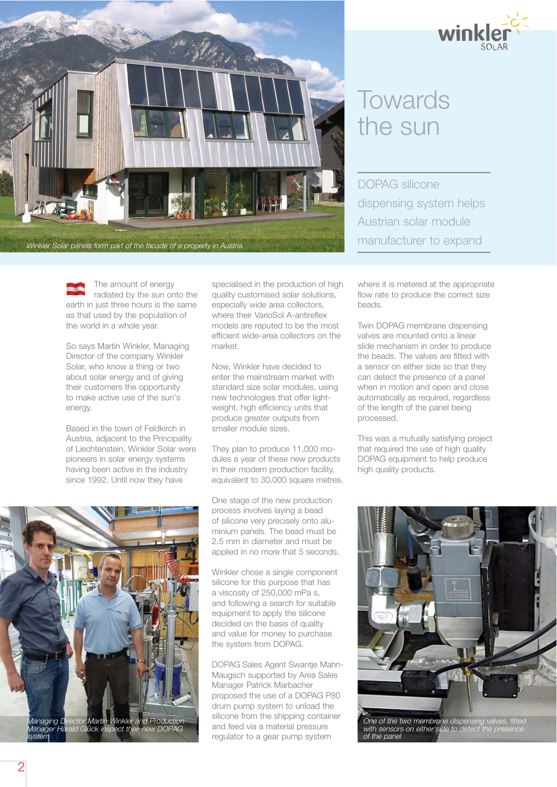

## **Towards** the sun

DOPAG silicone dispensing system helps Austrian solar module

The amount of energy radiated by the sun onto the earth in just three hours is the same as that used by the population of the world in a whole year.

So says Martin Winkler, Managing Director of the company Winkler Solar, who know a thing or two about solar energy and of giving their customers the opportunity to make active use of the sun's energy.

Based in the town of Feldkirch in Austria, adjacent to the Principality of Liechtenstein, Winkler Solar were pioneers in solar energy systems having been active in the industry since 1992. Until now they have

specialised in the production of high quality customised solar solutions, especially wide area collectors, where their VarioSol A-antireflex models are reputed to be the most efficient wide-area collectors on the market.

Now, Winkler have decided to enter the mainstream market with standard size solar modules, using new technologies that offer lightweight, high efficiency units that produce greater outputs from smaller module sizes.

They plan to produce 11,000 modules a year of these new products in their modern production facility, equivalent to 30,000 square metres.

One stage of the new production process involves laying a bead of silicone very precisely onto alu minium panels. The bead must be 2.5 mm in diameter and must be applied in no more that 5 seconds.

Winkler chose a single component silicone for this purpose that has a viscosity of 250,000 mPa s, and following a search for suitable equipment to apply the silicone decided on the basis of quality and value for money to purchase the system from DOPAG.

DOPAG Sales Agent Swantje Mahn-Maugsch supported by Area Sales Manager Patrick Marbacher proposed the use of a DOPAG P80 drum pump system to unload the silicone from the shipping container and feed via a material pressure regulator to a gear pump system

where it is metered at the appropriate flow rate to produce the correct size beads.

Twin DOPAG membrane dispensing valves are mounted onto a linear slide mechanism in order to produce the beads. The valves are fitted with a sensor on either side so that they can detect the presence of a panel when in motion and open and close automatically as required, regardless of the length of the panel being processed.

This was a mutually satisfying project that required the use of high quality DOPAG equipment to help produce high quality products.



One of the two membrane dispensing valves, fitted with sensors on either side to detect the presence of the panel

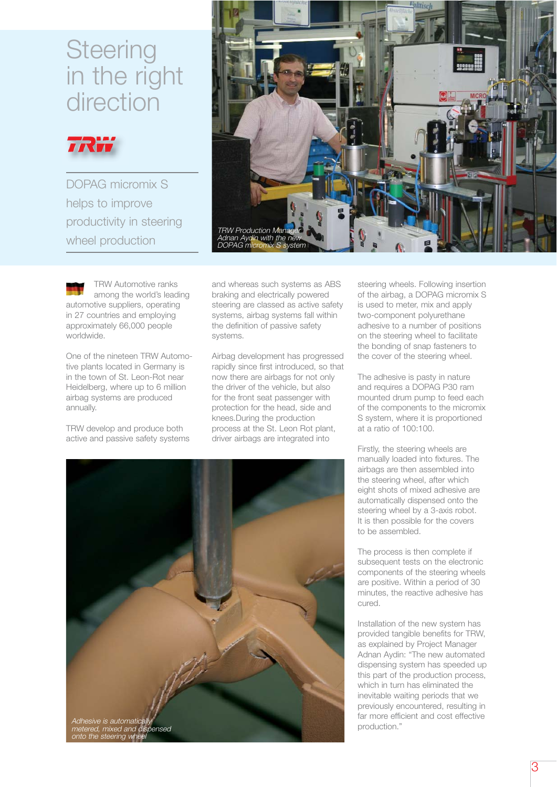#### **Steering** in the right direction



DOPAG micromix S helps to improve productivity in steering wheel production



TRW Automotive ranks among the world's leading automotive suppliers, operating in 27 countries and employing approximately 66,000 people worldwide.

One of the nineteen TRW Automotive plants located in Germany is in the town of St. Leon-Rot near Heidelberg, where up to 6 million airbag systems are produced annually.

TRW develop and produce both active and passive safety systems and whereas such systems as ABS braking and electrically powered steering are classed as active safety systems, airbag systems fall within the definition of passive safety systems.

Airbag development has progressed rapidly since first introduced, so that now there are airbags for not only the driver of the vehicle, but also for the front seat passenger with protection for the head, side and knees.During the production process at the St. Leon Rot plant, driver airbags are integrated into



steering wheels. Following insertion of the airbag, a DOPAG micromix S is used to meter, mix and apply two-component polyurethane adhesive to a number of positions on the steering wheel to facilitate the bonding of snap fasteners to the cover of the steering wheel.

The adhesive is pasty in nature and requires a DOPAG P30 ram mounted drum pump to feed each of the components to the micromix S system, where it is proportioned at a ratio of 100:100.

Firstly, the steering wheels are manually loaded into fixtures. The airbags are then assembled into the steering wheel, after which eight shots of mixed adhesive are automatically dispensed onto the steering wheel by a 3-axis robot. It is then possible for the covers to be assembled.

The process is then complete if subsequent tests on the electronic components of the steering wheels are positive. Within a period of 30 minutes, the reactive adhesive has cured.

Installation of the new system has provided tangible benefits for TRW, as explained by Project Manager Adnan Aydin: "The new automated dispensing system has speeded up this part of the production process, which in turn has eliminated the inevitable waiting periods that we previously encountered, resulting in far more efficient and cost effective production."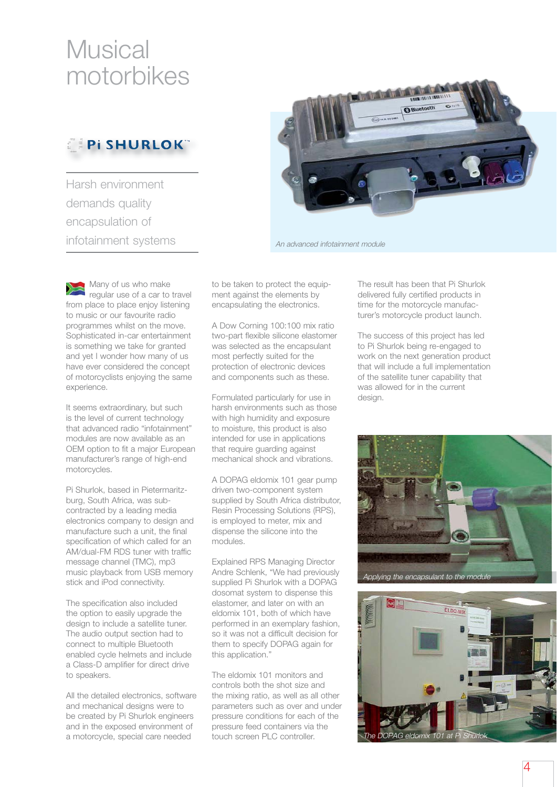## **Musical** motorbikes

#### **Pi SHURLOK**"

Harsh environment demands quality encapsulation of infotainment systems



An advanced infotainment module

Many of us who make regular use of a car to travel from place to place enjoy listening to music or our favourite radio programmes whilst on the move. Sophisticated in-car entertainment is something we take for granted and yet I wonder how many of us have ever considered the concept of motorcyclists enjoying the same experience.

It seems extraordinary, but such is the level of current technology that advanced radio "infotainment" modules are now available as an OEM option to fit a major European manufacturer's range of high-end motorcycles.

Pi Shurlok, based in Pietermaritzburg, South Africa, was subcontracted by a leading media electronics company to design and manufacture such a unit, the final specification of which called for an AM/dual-FM RDS tuner with traffic message channel (TMC), mp3 music playback from USB memory stick and iPod connectivity.

The specification also included the option to easily upgrade the design to include a satellite tuner. The audio output section had to connect to multiple Bluetooth enabled cycle helmets and include a Class-D amplifier for direct drive to speakers.

All the detailed electronics, software and mechanical designs were to be created by Pi Shurlok engineers and in the exposed environment of a motorcycle, special care needed

to be taken to protect the equipment against the elements by encapsulating the electronics.

A Dow Corning 100:100 mix ratio two-part flexible silicone elastomer was selected as the encapsulant most perfectly suited for the protection of electronic devices and components such as these.

Formulated particularly for use in harsh environments such as those with high humidity and exposure to moisture, this product is also intended for use in applications that require quarding against mechanical shock and vibrations.

A DOPAG eldomix 101 gear pump driven two-component system supplied by South Africa distributor, Resin Processing Solutions (RPS), is employed to meter, mix and dispense the silicone into the modules.

Explained RPS Managing Director Andre Schlenk, "We had previously supplied Pi Shurlok with a DOPAG dosomat system to dispense this elastomer, and later on with an eldomix 101, both of which have performed in an exemplary fashion, so it was not a difficult decision for them to specify DOPAG again for this application."

The eldomix 101 monitors and controls both the shot size and the mixing ratio, as well as all other parameters such as over and under pressure conditions for each of the pressure feed containers via the touch screen PLC controller.

The result has been that Pi Shurlok delivered fully certified products in time for the motorcycle manufacturer's motorcycle product launch.

The success of this project has led to Pi Shurlok being re-engaged to work on the next generation product that will include a full implementation of the satellite tuner capability that was allowed for in the current design.



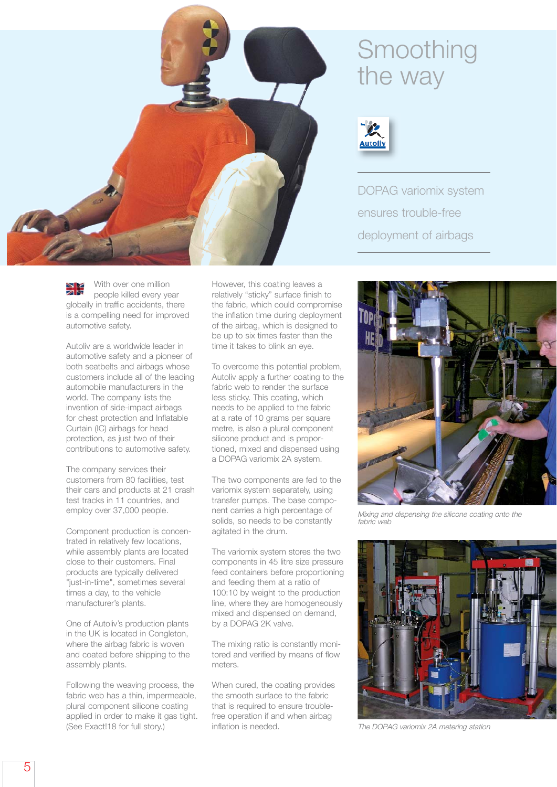

With over one million people killed every year globally in traffic accidents, there is a compelling need for improved automotive safety.

Autoliv are a worldwide leader in automotive safety and a pioneer of both seatbelts and airbags whose customers include all of the leading automobile manufacturers in the world. The company lists the invention of side-impact airbags for chest protection and Inflatable Curtain (IC) airbags for head protection, as just two of their contributions to automotive safety.

The company services their customers from 80 facilities, test their cars and products at 21 crash test tracks in 11 countries, and employ over 37,000 people.

Component production is concen trated in relatively few locations, while assembly plants are located close to their customers. Final products are typically delivered "just-in-time", sometimes several times a day, to the vehicle manufacturer's plants.

One of Autoliv's production plants in the UK is located in Congleton, where the airbag fabric is woven and coated before shipping to the assembly plants.

Following the weaving process, the fabric web has a thin, impermeable, plural component silicone coating applied in order to make it gas tight. (See Exact!18 for full story.)

However, this coating leaves a relatively "sticky" surface finish to the fabric, which could compromise the inflation time during deployment of the airbag, which is designed to be up to six times faster than the time it takes to blink an eye.

To overcome this potential problem, Autoliv apply a further coating to the fabric web to render the surface less sticky. This coating, which needs to be applied to the fabric at a rate of 10 grams per square metre, is also a plural component silicone product and is proportioned, mixed and dispensed using a DOPAG variomix 2A system.

The two components are fed to the variomix system separately, using transfer pumps. The base component carries a high percentage of solids, so needs to be constantly agitated in the drum.

The variomix system stores the two components in 45 litre size pressure feed containers before proportioning and feeding them at a ratio of 100:10 by weight to the production line, where they are homogeneously mixed and dispensed on demand, by a DOPAG 2K valve.

The mixing ratio is constantly monitored and verified by means of flow meters.

When cured, the coating provides the smooth surface to the fabric that is required to ensure troublefree operation if and when airbag inflation is needed.

## Smoothing the way



DOPAG variomix system ensures trouble-free deployment of airbags



Mixing and dispensing the silicone coating onto the fabric web



The DOPAG variomix 2A metering station